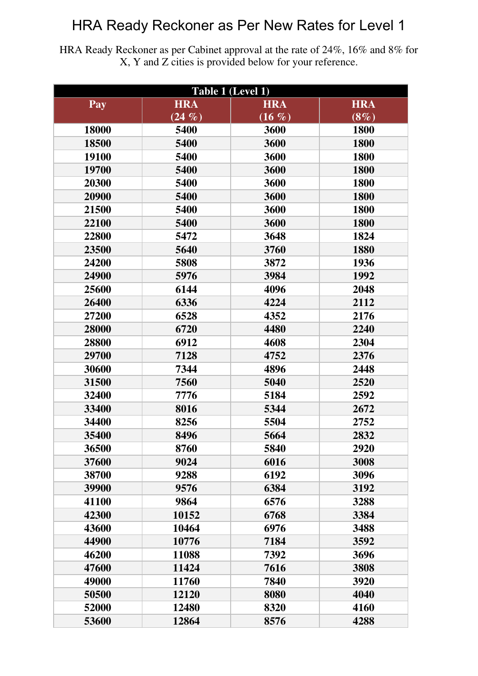HRA Ready Reckoner as per Cabinet approval at the rate of 24%, 16% and 8% for X, Y and Z cities is provided below for your reference.

| Table 1 (Level 1) |            |            |            |  |
|-------------------|------------|------------|------------|--|
| Pay               | <b>HRA</b> | <b>HRA</b> | <b>HRA</b> |  |
|                   | $(24\%)$   | $(16 \%)$  | $(8\%)$    |  |
| 18000             | 5400       | 3600       | 1800       |  |
| 18500             | 5400       | 3600       | 1800       |  |
| 19100             | 5400       | 3600       | 1800       |  |
| 19700             | 5400       | 3600       | 1800       |  |
| 20300             | 5400       | 3600       | 1800       |  |
| 20900             | 5400       | 3600       | 1800       |  |
| 21500             | 5400       | 3600       | 1800       |  |
| 22100             | 5400       | 3600       | 1800       |  |
| 22800             | 5472       | 3648       | 1824       |  |
| 23500             | 5640       | 3760       | 1880       |  |
| 24200             | 5808       | 3872       | 1936       |  |
| 24900             | 5976       | 3984       | 1992       |  |
| 25600             | 6144       | 4096       | 2048       |  |
| 26400             | 6336       | 4224       | 2112       |  |
| 27200             | 6528       | 4352       | 2176       |  |
| 28000             | 6720       | 4480       | 2240       |  |
| 28800             | 6912       | 4608       | 2304       |  |
| 29700             | 7128       | 4752       | 2376       |  |
| 30600             | 7344       | 4896       | 2448       |  |
| 31500             | 7560       | 5040       | 2520       |  |
| 32400             | 7776       | 5184       | 2592       |  |
| 33400             | 8016       | 5344       | 2672       |  |
| 34400             | 8256       | 5504       | 2752       |  |
| 35400             | 8496       | 5664       | 2832       |  |
| 36500             | 8760       | 5840       | 2920       |  |
| 37600             | 9024       | 6016       | 3008       |  |
| 38700             | 9288       | 6192       | 3096       |  |
| 39900             | 9576       | 6384       | 3192       |  |
| 41100             | 9864       | 6576       | 3288       |  |
| 42300             | 10152      | 6768       | 3384       |  |
| 43600             | 10464      | 6976       | 3488       |  |
| 44900             | 10776      | 7184       | 3592       |  |
| 46200             | 11088      | 7392       | 3696       |  |
| 47600             | 11424      | 7616       | 3808       |  |
| 49000             | 11760      | 7840       | 3920       |  |
| 50500             | 12120      | 8080       | 4040       |  |
| 52000             | 12480      | 8320       | 4160       |  |
| 53600             | 12864      | 8576       | 4288       |  |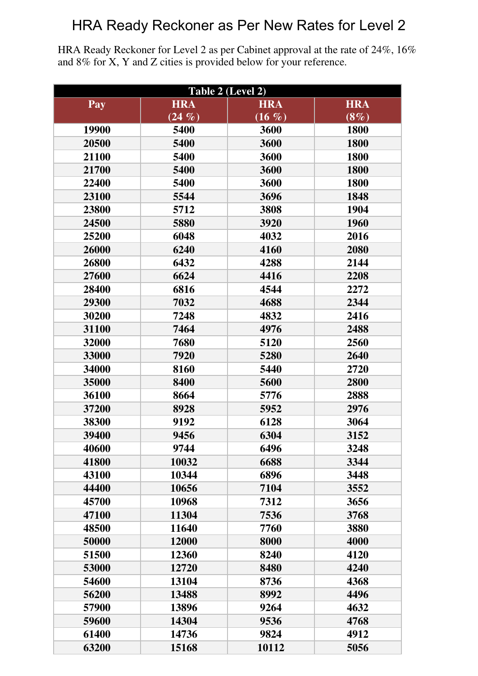HRA Ready Reckoner for Level 2 as per Cabinet approval at the rate of 24%, 16% and 8% for X, Y and Z cities is provided below for your reference.

| Table 2 (Level 2) |            |            |            |  |
|-------------------|------------|------------|------------|--|
| Pay               | <b>HRA</b> | <b>HRA</b> | <b>HRA</b> |  |
|                   | $(24 \%)$  | $(16 \%)$  | $(8\%)$    |  |
| 19900             | 5400       | 3600       | 1800       |  |
| 20500             | 5400       | 3600       | 1800       |  |
| 21100             | 5400       | 3600       | 1800       |  |
| 21700             | 5400       | 3600       | 1800       |  |
| 22400             | 5400       | 3600       | 1800       |  |
| 23100             | 5544       | 3696       | 1848       |  |
| 23800             | 5712       | 3808       | 1904       |  |
| 24500             | 5880       | 3920       | 1960       |  |
| 25200             | 6048       | 4032       | 2016       |  |
| 26000             | 6240       | 4160       | 2080       |  |
| 26800             | 6432       | 4288       | 2144       |  |
| 27600             | 6624       | 4416       | 2208       |  |
| 28400             | 6816       | 4544       | 2272       |  |
| 29300             | 7032       | 4688       | 2344       |  |
| 30200             | 7248       | 4832       | 2416       |  |
| 31100             | 7464       | 4976       | 2488       |  |
| 32000             | 7680       | 5120       | 2560       |  |
| 33000             | 7920       | 5280       | 2640       |  |
| 34000             | 8160       | 5440       | 2720       |  |
| 35000             | 8400       | 5600       | 2800       |  |
| 36100             | 8664       | 5776       | 2888       |  |
| 37200             | 8928       | 5952       | 2976       |  |
| 38300             | 9192       | 6128       | 3064       |  |
| 39400             | 9456       | 6304       | 3152       |  |
| 40600             | 9744       | 6496       | 3248       |  |
| 41800             | 10032      | 6688       | 3344       |  |
| 43100             | 10344      | 6896       | 3448       |  |
| 44400             | 10656      | 7104       | 3552       |  |
| 45700             | 10968      | 7312       | 3656       |  |
| 47100             | 11304      | 7536       | 3768       |  |
| 48500             | 11640      | 7760       | 3880       |  |
| 50000             | 12000      | 8000       | 4000       |  |
| 51500             | 12360      | 8240       | 4120       |  |
| 53000             | 12720      | 8480       | 4240       |  |
| 54600             | 13104      | 8736       | 4368       |  |
| 56200             | 13488      | 8992       | 4496       |  |
| 57900             | 13896      | 9264       | 4632       |  |
| 59600             | 14304      | 9536       | 4768       |  |
| 61400             | 14736      | 9824       | 4912       |  |
| 63200             | 15168      | 10112      | 5056       |  |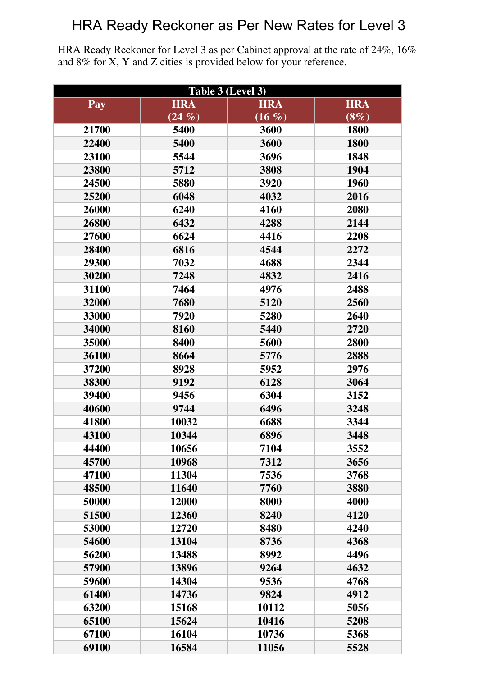HRA Ready Reckoner for Level 3 as per Cabinet approval at the rate of 24%, 16% and 8% for X, Y and Z cities is provided below for your reference.

| Table 3 (Level 3) |            |            |            |  |
|-------------------|------------|------------|------------|--|
| Pay               | <b>HRA</b> | <b>HRA</b> | <b>HRA</b> |  |
|                   | $(24 \%)$  | (16, 96)   | $(8\%)$    |  |
| 21700             | 5400       | 3600       | 1800       |  |
| 22400             | 5400       | 3600       | 1800       |  |
| 23100             | 5544       | 3696       | 1848       |  |
| 23800             | 5712       | 3808       | 1904       |  |
| 24500             | 5880       | 3920       | 1960       |  |
| 25200             | 6048       | 4032       | 2016       |  |
| 26000             | 6240       | 4160       | 2080       |  |
| 26800             | 6432       | 4288       | 2144       |  |
| 27600             | 6624       | 4416       | 2208       |  |
| 28400             | 6816       | 4544       | 2272       |  |
| 29300             | 7032       | 4688       | 2344       |  |
| 30200             | 7248       | 4832       | 2416       |  |
| 31100             | 7464       | 4976       | 2488       |  |
| 32000             | 7680       | 5120       | 2560       |  |
| 33000             | 7920       | 5280       | 2640       |  |
| 34000             | 8160       | 5440       | 2720       |  |
| 35000             | 8400       | 5600       | 2800       |  |
| 36100             | 8664       | 5776       | 2888       |  |
| 37200             | 8928       | 5952       | 2976       |  |
| 38300             | 9192       | 6128       | 3064       |  |
| 39400             | 9456       | 6304       | 3152       |  |
| 40600             | 9744       | 6496       | 3248       |  |
| 41800             | 10032      | 6688       | 3344       |  |
| 43100             | 10344      | 6896       | 3448       |  |
| 44400             | 10656      | 7104       | 3552       |  |
| 45700             | 10968      | 7312       | 3656       |  |
| 47100             | 11304      | 7536       | 3768       |  |
| 48500             | 11640      | 7760       | 3880       |  |
| 50000             | 12000      | 8000       | 4000       |  |
| 51500             | 12360      | 8240       | 4120       |  |
| 53000             | 12720      | 8480       | 4240       |  |
| 54600             | 13104      | 8736       | 4368       |  |
| 56200             | 13488      | 8992       | 4496       |  |
| 57900             | 13896      | 9264       | 4632       |  |
| 59600             | 14304      | 9536       | 4768       |  |
| 61400             | 14736      | 9824       | 4912       |  |
| 63200             | 15168      | 10112      | 5056       |  |
| 65100             | 15624      | 10416      | 5208       |  |
| 67100             | 16104      | 10736      | 5368       |  |
| 69100             | 16584      | 11056      | 5528       |  |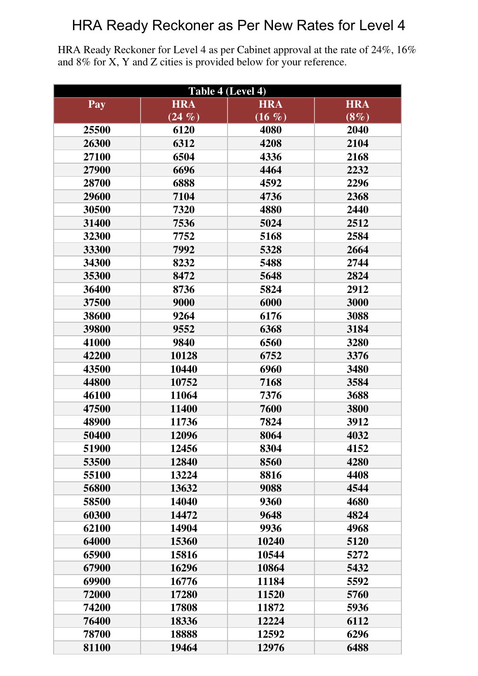HRA Ready Reckoner for Level 4 as per Cabinet approval at the rate of 24%, 16% and 8% for X, Y and Z cities is provided below for your reference.

| Table 4 (Level 4) |            |            |            |  |
|-------------------|------------|------------|------------|--|
| Pay               | <b>HRA</b> | <b>HRA</b> | <b>HRA</b> |  |
|                   | $(24 \%)$  | (16, 96)   | $(8\%)$    |  |
| 25500             | 6120       | 4080       | 2040       |  |
| 26300             | 6312       | 4208       | 2104       |  |
| 27100             | 6504       | 4336       | 2168       |  |
| 27900             | 6696       | 4464       | 2232       |  |
| 28700             | 6888       | 4592       | 2296       |  |
| 29600             | 7104       | 4736       | 2368       |  |
| 30500             | 7320       | 4880       | 2440       |  |
| 31400             | 7536       | 5024       | 2512       |  |
| 32300             | 7752       | 5168       | 2584       |  |
| 33300             | 7992       | 5328       | 2664       |  |
| 34300             | 8232       | 5488       | 2744       |  |
| 35300             | 8472       | 5648       | 2824       |  |
| 36400             | 8736       | 5824       | 2912       |  |
| 37500             | 9000       | 6000       | 3000       |  |
| 38600             | 9264       | 6176       | 3088       |  |
| 39800             | 9552       | 6368       | 3184       |  |
| 41000             | 9840       | 6560       | 3280       |  |
| 42200             | 10128      | 6752       | 3376       |  |
| 43500             | 10440      | 6960       | 3480       |  |
| 44800             | 10752      | 7168       | 3584       |  |
| 46100             | 11064      | 7376       | 3688       |  |
| 47500             | 11400      | 7600       | 3800       |  |
| 48900             | 11736      | 7824       | 3912       |  |
| 50400             | 12096      | 8064       | 4032       |  |
| 51900             | 12456      | 8304       | 4152       |  |
| 53500             | 12840      | 8560       | 4280       |  |
| 55100             | 13224      | 8816       | 4408       |  |
| 56800             | 13632      | 9088       | 4544       |  |
| 58500             | 14040      | 9360       | 4680       |  |
| 60300             | 14472      | 9648       | 4824       |  |
| 62100             | 14904      | 9936       | 4968       |  |
| 64000             | 15360      | 10240      | 5120       |  |
| 65900             | 15816      | 10544      | 5272       |  |
| 67900             | 16296      | 10864      | 5432       |  |
| 69900             | 16776      | 11184      | 5592       |  |
| 72000             | 17280      | 11520      | 5760       |  |
| 74200             | 17808      | 11872      | 5936       |  |
| 76400             | 18336      | 12224      | 6112       |  |
| 78700             | 18888      | 12592      | 6296       |  |
| 81100             | 19464      | 12976      | 6488       |  |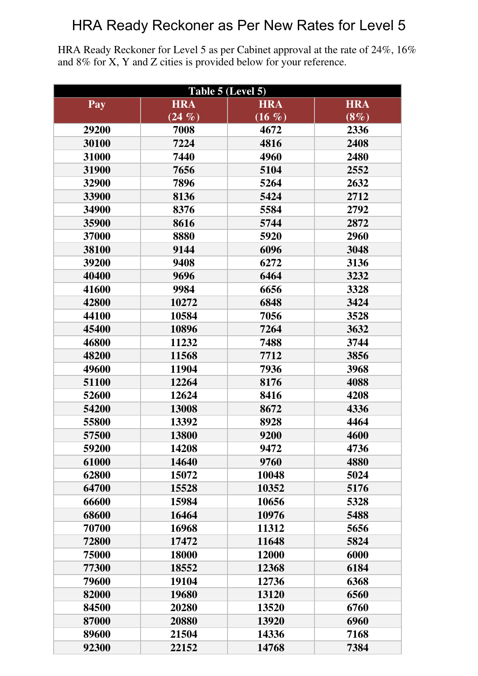HRA Ready Reckoner for Level 5 as per Cabinet approval at the rate of 24%, 16% and 8% for X, Y and Z cities is provided below for your reference.

| Table 5 (Level 5) |            |            |            |  |
|-------------------|------------|------------|------------|--|
| Pay               | <b>HRA</b> | <b>HRA</b> | <b>HRA</b> |  |
|                   | $(24 \%)$  | $(16 \%)$  | $(8\%)$    |  |
| 29200             | 7008       | 4672       | 2336       |  |
| 30100             | 7224       | 4816       | 2408       |  |
| 31000             | 7440       | 4960       | 2480       |  |
| 31900             | 7656       | 5104       | 2552       |  |
| 32900             | 7896       | 5264       | 2632       |  |
| 33900             | 8136       | 5424       | 2712       |  |
| 34900             | 8376       | 5584       | 2792       |  |
| 35900             | 8616       | 5744       | 2872       |  |
| 37000             | 8880       | 5920       | 2960       |  |
| 38100             | 9144       | 6096       | 3048       |  |
| 39200             | 9408       | 6272       | 3136       |  |
| 40400             | 9696       | 6464       | 3232       |  |
| 41600             | 9984       | 6656       | 3328       |  |
| 42800             | 10272      | 6848       | 3424       |  |
| 44100             | 10584      | 7056       | 3528       |  |
| 45400             | 10896      | 7264       | 3632       |  |
| 46800             | 11232      | 7488       | 3744       |  |
| 48200             | 11568      | 7712       | 3856       |  |
| 49600             | 11904      | 7936       | 3968       |  |
| 51100             | 12264      | 8176       | 4088       |  |
| 52600             | 12624      | 8416       | 4208       |  |
| 54200             | 13008      | 8672       | 4336       |  |
| 55800             | 13392      | 8928       | 4464       |  |
| 57500             | 13800      | 9200       | 4600       |  |
| 59200             | 14208      | 9472       | 4736       |  |
| 61000             | 14640      | 9760       | 4880       |  |
| 62800             | 15072      | 10048      | 5024       |  |
| 64700             | 15528      | 10352      | 5176       |  |
| 66600             | 15984      | 10656      | 5328       |  |
| 68600             | 16464      | 10976      | 5488       |  |
| 70700             | 16968      | 11312      | 5656       |  |
| 72800             | 17472      | 11648      | 5824       |  |
| 75000             | 18000      | 12000      | 6000       |  |
| 77300             | 18552      | 12368      | 6184       |  |
| 79600             | 19104      | 12736      | 6368       |  |
| 82000             | 19680      | 13120      | 6560       |  |
| 84500             | 20280      | 13520      | 6760       |  |
| 87000             | 20880      | 13920      | 6960       |  |
| 89600             | 21504      | 14336      | 7168       |  |
| 92300             | 22152      | 14768      | 7384       |  |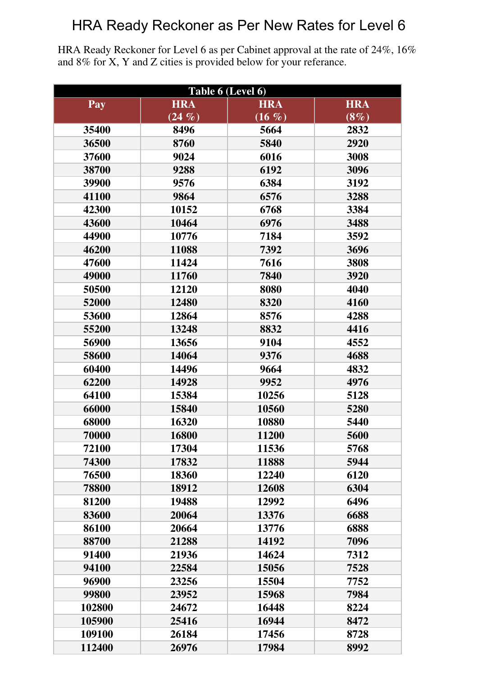HRA Ready Reckoner for Level 6 as per Cabinet approval at the rate of 24%, 16% and 8% for X, Y and Z cities is provided below for your referance.

| Table 6 (Level 6) |            |            |            |  |
|-------------------|------------|------------|------------|--|
| Pay               | <b>HRA</b> | <b>HRA</b> | <b>HRA</b> |  |
|                   | $(24 \%)$  | $(16 \%)$  | $(8\%)$    |  |
| 35400             | 8496       | 5664       | 2832       |  |
| 36500             | 8760       | 5840       | 2920       |  |
| 37600             | 9024       | 6016       | 3008       |  |
| 38700             | 9288       | 6192       | 3096       |  |
| 39900             | 9576       | 6384       | 3192       |  |
| 41100             | 9864       | 6576       | 3288       |  |
| 42300             | 10152      | 6768       | 3384       |  |
| 43600             | 10464      | 6976       | 3488       |  |
| 44900             | 10776      | 7184       | 3592       |  |
| 46200             | 11088      | 7392       | 3696       |  |
| 47600             | 11424      | 7616       | 3808       |  |
| 49000             | 11760      | 7840       | 3920       |  |
| 50500             | 12120      | 8080       | 4040       |  |
| 52000             | 12480      | 8320       | 4160       |  |
| 53600             | 12864      | 8576       | 4288       |  |
| 55200             | 13248      | 8832       | 4416       |  |
| 56900             | 13656      | 9104       | 4552       |  |
| 58600             | 14064      | 9376       | 4688       |  |
| 60400             | 14496      | 9664       | 4832       |  |
| 62200             | 14928      | 9952       | 4976       |  |
| 64100             | 15384      | 10256      | 5128       |  |
| 66000             | 15840      | 10560      | 5280       |  |
| 68000             | 16320      | 10880      | 5440       |  |
| 70000             | 16800      | 11200      | 5600       |  |
| 72100             | 17304      | 11536      | 5768       |  |
| 74300             | 17832      | 11888      | 5944       |  |
| 76500             | 18360      | 12240      | 6120       |  |
| 78800             | 18912      | 12608      | 6304       |  |
| 81200             | 19488      | 12992      | 6496       |  |
| 83600             | 20064      | 13376      | 6688       |  |
| 86100             | 20664      | 13776      | 6888       |  |
| 88700             | 21288      | 14192      | 7096       |  |
| 91400             | 21936      | 14624      | 7312       |  |
| 94100             | 22584      | 15056      | 7528       |  |
| 96900             | 23256      | 15504      | 7752       |  |
| 99800             | 23952      | 15968      | 7984       |  |
| 102800            | 24672      | 16448      | 8224       |  |
| 105900            | 25416      | 16944      | 8472       |  |
| 109100            | 26184      | 17456      | 8728       |  |
| 112400            | 26976      | 17984      | 8992       |  |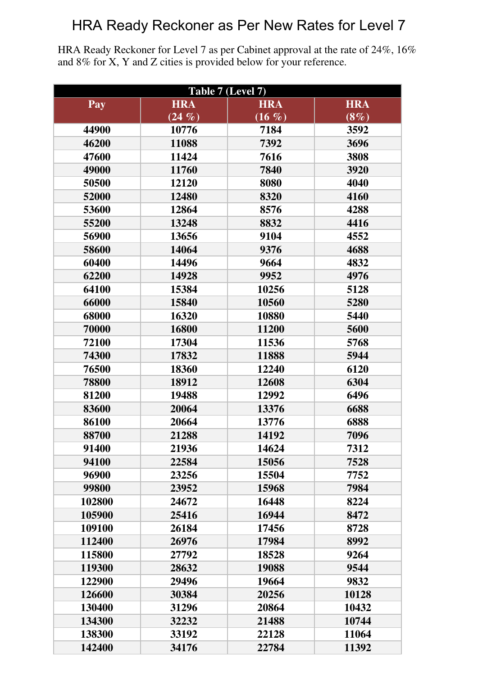HRA Ready Reckoner for Level 7 as per Cabinet approval at the rate of 24%, 16% and 8% for X, Y and Z cities is provided below for your reference.

| Table 7 (Level 7) |            |            |            |  |
|-------------------|------------|------------|------------|--|
| Pay               | <b>HRA</b> | <b>HRA</b> | <b>HRA</b> |  |
|                   | $(24 \%)$  | $(16 \%)$  | $(8\%)$    |  |
| 44900             | 10776      | 7184       | 3592       |  |
| 46200             | 11088      | 7392       | 3696       |  |
| 47600             | 11424      | 7616       | 3808       |  |
| 49000             | 11760      | 7840       | 3920       |  |
| 50500             | 12120      | 8080       | 4040       |  |
| 52000             | 12480      | 8320       | 4160       |  |
| 53600             | 12864      | 8576       | 4288       |  |
| 55200             | 13248      | 8832       | 4416       |  |
| 56900             | 13656      | 9104       | 4552       |  |
| 58600             | 14064      | 9376       | 4688       |  |
| 60400             | 14496      | 9664       | 4832       |  |
| 62200             | 14928      | 9952       | 4976       |  |
| 64100             | 15384      | 10256      | 5128       |  |
| 66000             | 15840      | 10560      | 5280       |  |
| 68000             | 16320      | 10880      | 5440       |  |
| 70000             | 16800      | 11200      | 5600       |  |
| 72100             | 17304      | 11536      | 5768       |  |
| 74300             | 17832      | 11888      | 5944       |  |
| 76500             | 18360      | 12240      | 6120       |  |
| 78800             | 18912      | 12608      | 6304       |  |
| 81200             | 19488      | 12992      | 6496       |  |
| 83600             | 20064      | 13376      | 6688       |  |
| 86100             | 20664      | 13776      | 6888       |  |
| 88700             | 21288      | 14192      | 7096       |  |
| 91400             | 21936      | 14624      | 7312       |  |
| 94100             | 22584      | 15056      | 7528       |  |
| 96900             | 23256      | 15504      | 7752       |  |
| 99800             | 23952      | 15968      | 7984       |  |
| 102800            | 24672      | 16448      | 8224       |  |
| 105900            | 25416      | 16944      | 8472       |  |
| 109100            | 26184      | 17456      | 8728       |  |
| 112400            | 26976      | 17984      | 8992       |  |
| 115800            | 27792      | 18528      | 9264       |  |
| 119300            | 28632      | 19088      | 9544       |  |
| 122900            | 29496      | 19664      | 9832       |  |
| 126600            | 30384      | 20256      | 10128      |  |
| 130400            | 31296      | 20864      | 10432      |  |
| 134300            | 32232      | 21488      | 10744      |  |
| 138300            | 33192      | 22128      | 11064      |  |
| 142400            | 34176      | 22784      | 11392      |  |